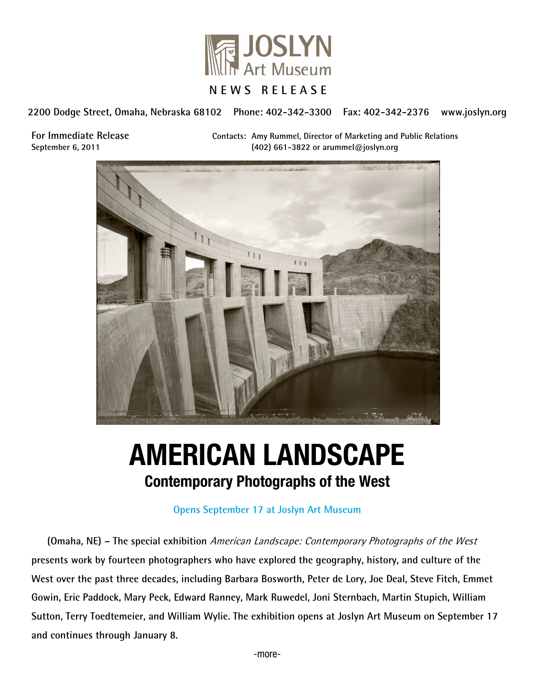

**2200 Dodge Street, Omaha, Nebraska 68102 Phone: 402-342-3300 Fax: 402-342-2376 www.joslyn.org**

**For Immediate Release Contacts: Amy Rummel, Director of Marketing and Public Relations September 6, 2011 (402) 661-3822 or arummel@joslyn.org**



# AMERICAN LANDSCAPE Contemporary Photographs of the West

#### **Opens September 17 at Joslyn Art Museum**

**(Omaha, NE) – The special exhibition** American Landscape: Contemporary Photographs of the West **presents work by fourteen photographers who have explored the geography, history, and culture of the West over the past three decades, including Barbara Bosworth, Peter de Lory, Joe Deal, Steve Fitch, Emmet Gowin, Eric Paddock, Mary Peck, Edward Ranney, Mark Ruwedel, Joni Sternbach, Martin Stupich, William Sutton, Terry Toedtemeier, and William Wylie. The exhibition opens at Joslyn Art Museum on September 17 and continues through January 8.**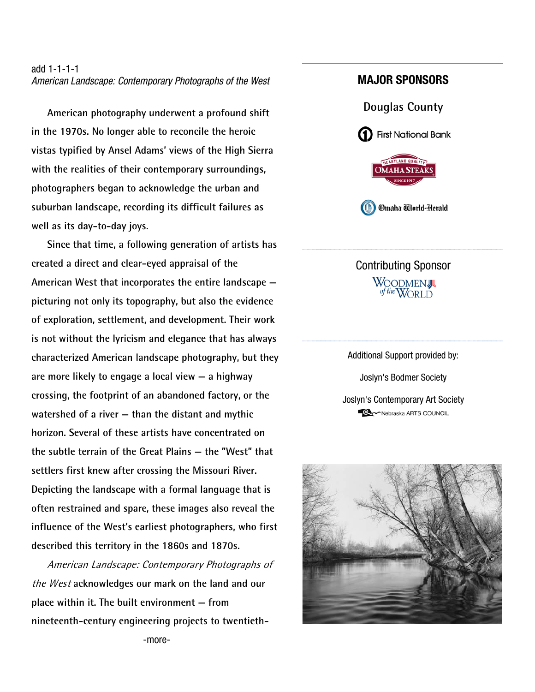#### add 1-1-1-1 *American Landscape: Contemporary Photographs of the West*

**American photography underwent a profound shift in the 1970s. No longer able to reconcile the heroic vistas typified by Ansel Adams' views of the High Sierra with the realities of their contemporary surroundings, photographers began to acknowledge the urban and suburban landscape, recording its difficult failures as well as its day-to-day joys.** 

**Since that time, a following generation of artists has created a direct and clear-eyed appraisal of the American West that incorporates the entire landscape picturing not only its topography, but also the evidence of exploration, settlement, and development. Their work is not without the lyricism and elegance that has always characterized American landscape photography, but they are more likely to engage a local view — a highway crossing, the footprint of an abandoned factory, or the watershed of a river — than the distant and mythic horizon. Several of these artists have concentrated on the subtle terrain of the Great Plains — the "West" that settlers first knew after crossing the Missouri River. Depicting the landscape with a formal language that is often restrained and spare, these images also reveal the influence of the West's earliest photographers, who first described this territory in the 1860s and 1870s.** 

American Landscape: Contemporary Photographs of the West **acknowledges our mark on the land and our place within it. The built environment — from nineteenth-century engineering projects to twentieth-**

## MAJOR SPONSORS



Contributing Sponsor WOODMENJL

Additional Support provided by: Joslyn's Bodmer Society Joslyn's Contemporary Art Society**CAM** Nebraska ARTS COUNCIL



-more-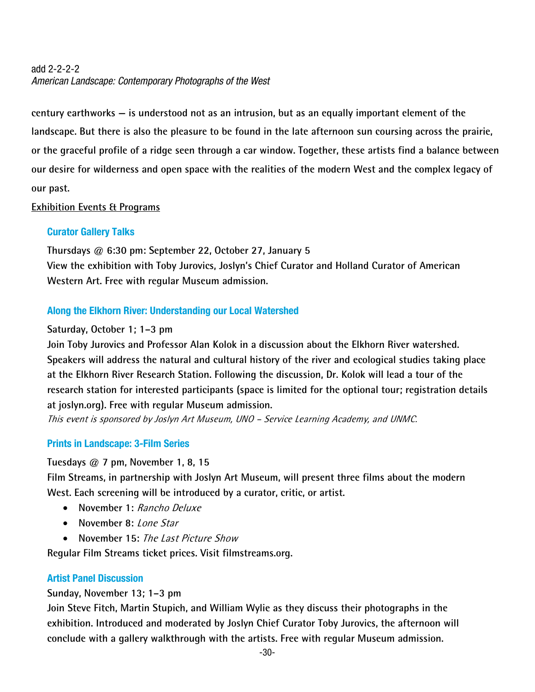# add 2-2-2-2 *American Landscape: Contemporary Photographs of the West*

**century earthworks — is understood not as an intrusion, but as an equally important element of the landscape. But there is also the pleasure to be found in the late afternoon sun coursing across the prairie, or the graceful profile of a ridge seen through a car window. Together, these artists find a balance between our desire for wilderness and open space with the realities of the modern West and the complex legacy of our past.**

## **Exhibition Events & Programs**

# Curator Gallery Talks

**Thursdays @ 6:30 pm: September 22, October 27, January 5 View the exhibition with Toby Jurovics, Joslyn's Chief Curator and Holland Curator of American Western Art. Free with regular Museum admission.** 

# Along the Elkhorn River: Understanding our Local Watershed

## **Saturday, October 1; 1–3 pm**

**Join Toby Jurovics and Professor Alan Kolok in a discussion about the Elkhorn River watershed. Speakers will address the natural and cultural history of the river and ecological studies taking place at the Elkhorn River Research Station. Following the discussion, Dr. Kolok will lead a tour of the research station for interested participants (space is limited for the optional tour; registration details at joslyn.org). Free with regular Museum admission.** 

This event is sponsored by Joslyn Art Museum, UNO – Service Learning Academy, and UNMC.

# Prints in Landscape: 3-Film Series

**Tuesdays @ 7 pm, November 1, 8, 15** 

**Film Streams, in partnership with Joslyn Art Museum, will present three films about the modern West. Each screening will be introduced by a curator, critic, or artist.** 

- **November 1:** *Rancho Deluxe*
- November 8: *Lone Star*
- **November 15:** The Last Picture Show

**Regular Film Streams ticket prices. Visit filmstreams.org.** 

#### Artist Panel Discussion

# **Sunday, November 13; 1–3 pm**

**Join Steve Fitch, Martin Stupich, and William Wylie as they discuss their photographs in the exhibition. Introduced and moderated by Joslyn Chief Curator Toby Jurovics, the afternoon will conclude with a gallery walkthrough with the artists. Free with regular Museum admission.**